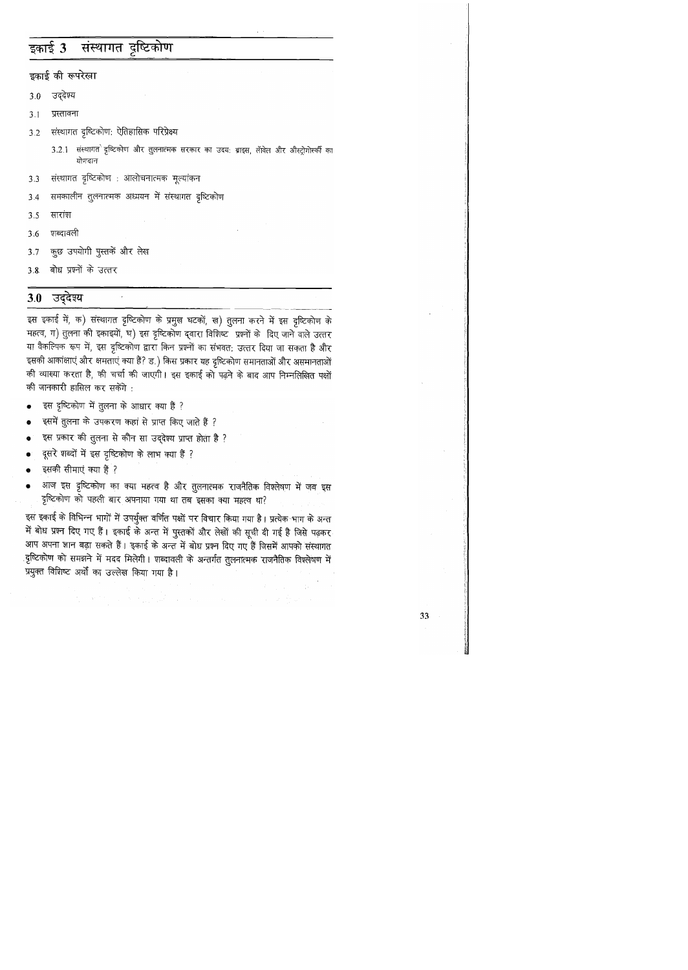#### संस्थागत दृष्टिकोण इकाई 3

इकाई की रूपरेखा

- उद्देश्य  $3.0$
- प्रस्तावना  $3.1$
- संस्थागत दृष्टिकोण: ऐतिहासिक परिप्रेक्ष्य  $3.2$ 
	- 3.2.1 संस्थागत दृष्टिकोण और तुलनात्मक सरकार का उदय: ब्राइस, लॅविल और औस्ट्रोगोर्स्की का योगदान
- संस्थागत दृष्टिकोण : आलोचनात्मक मूल्यांकन  $3.3$
- समकालीन तुलनात्मक अध्ययन में संस्थागत दृष्टिकोण  $3.4$
- सारांश  $3.5$
- शब्दावली  $3.6$
- कुछ उपयोगी पुस्तकें और लेख  $3.7$
- बोध प्रश्नों के उत्तर  $3.8$

#### उद्देश्य  $3.0$

इस इकाई में, क) संस्थागत दृष्टिकोण के प्रमुख घटकों, ख) तुलना करने में इस दृष्टिकोण के महत्व, ग) तुलना की इकाइयों, घ) इस दृष्टिकोण द्वारा विशिष्ट प्रश्नों के दिए जाने वाले उत्तर या वैकल्पिक रूप में, इस दृष्टिकोण द्वारा किन प्रश्नों का संभवत: उत्तर दिया जा सकता है और इसकी आकांक्षाएं और क्षमताएं क्या हैं? ड.) किस प्रकार यह दृष्टिकोण समानताओं और असमानताओं की व्याख्या करता है, की चर्चा की जाएगी। इस इकाई को पढ़ने के बाद आप निम्नलिखित पक्षों की जानकारी हासिल कर सकेंगे :

- इस दृष्टिकोण में तुलना के आधार क्या हैं ?
- इसमें तुलना के उपकरण कहां से प्राप्त किए जाते हैं ?  $\bullet$

 $\mathcal{A}$ 

- इस प्रकार की तुलना से कौन सा उद्देश्य प्राप्त होता है ?
- दूसरे शब्दों में इस दृष्टिकोण के लाभ क्या हैं ?
- इसकी सीमाएं क्या हैं ?
- आज इस दृष्टिकोण का क्या महत्व है और तुलनात्मक राजनैतिक विश्लेषण में जब इस  $\bullet$ दृष्टिकोण को पहली बार अपनाया गया था तब इसका क्या महत्व था?

इस इकाई के विभिन्न भागों में उपर्युक्त वर्णित पक्षों पर विचार किया गया है। प्रत्येक भाग के अन्त में बोध प्रश्न दिए गए हैं। इकाई के अन्त में पुस्तकों और लेखों की सूची दी गई है जिसे पढ़कर आप अपना ज्ञान बढ़ा सकते हैं। इकाई के अन्त में बोध प्रश्न दिए गए हैं जिसमें आपको संस्थागत ्दृष्टिकोण को समझने में मदद मिलेगी। शब्दावली के अन्तर्गत तुलनात्मक राजनैतिक विश्लेषण में प्रयुक्त विशिष्ट अर्थों का उल्लेख किया गया है।

the state of the state of the state of the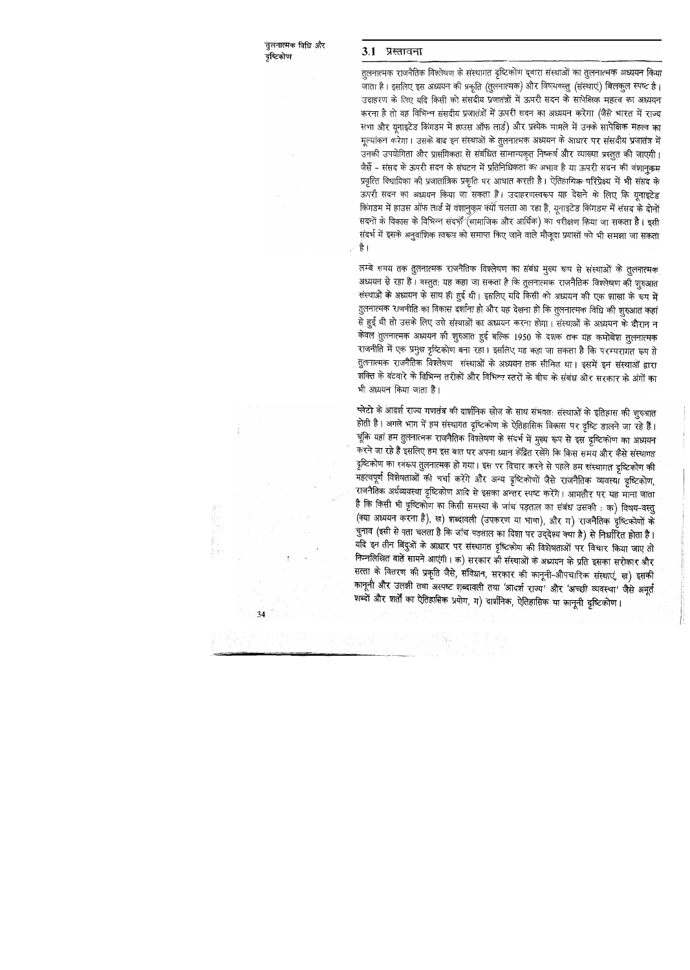### 3.1 प्रस्तावना

तुलनात्मक राजनैतिक विश्लेषण के संस्थागत दृष्टिकोण द्वारा संस्थाओं का तुलनात्मक अध्ययन किया जाता है। इसलिए इस अध्ययन की प्रकृति (तुलनात्मक) और विषयवस्तु (संस्थाएं) बिलकुल स्पष्ट है। उदाहरण के लिए यदि किसी को संसदीय प्रजातंत्रों में ऊपरी सदन के सापेक्षिक महत्व का अध्ययन करना है तो वह विभिन्न संसदीय प्रजातंत्रों में ऊपरी सदन का अध्ययन करेगा (जैसे भारत में राज्य सभा और यूनाइटेड किंगडम में हाउस ऑफ लार्ड) और प्रत्येक मामले में उनके सापेक्षिक महत्व का मूल्यांकन करेगा। उसके बाद इन संस्थाओं के तुलनात्मक अध्ययन के आधार पर संसदीय प्रजातंत्र में उनकी उपयोगिता और प्रासंगिकता से संबंधित सामान्यकृत निष्कर्ष और व्याख्या प्रस्तुत की जाएगी। जैर्से - संसद के ऊपरी सदन के संघटन में प्रतिनिधिकता का अभाव है या ऊपरी सदन की वंशानुकम प्रवृत्ति विधायिका की प्रजातांत्रिक प्रकृति पर आघात करती है। ऐतिहासिक परिप्रेक्ष्य में भी संसद के ऊपरी सदन का अध्ययन किया जा सकता है। उदाहरणस्वरूप यह देखने के लिए कि यूनाइटेड किंगडम में हाउस ऑफ लार्ड में वंशानुकृम क्यों चलता आ रहा है, यूनाइटेड किंगडम में संसद के दोनों सदनों के विकास के विभिन्न संदर्भो (सामाजिक और आर्थिक) का परीक्षण किया जा सकता है। इसी संदर्भ में इसके अनुवांशिक स्वरूप को समाप्त किए जाने वाले मौजूदा प्रयासों को भी समझा जा सकता है ।

लम्बे समय तक तुलनात्मक राजनैतिक विश्लेषण का संबंध मुख्य रूप से संस्थाओं के तुलनात्मक अध्ययन से रहा है। वस्तुत: यह कहा जा सकता है कि तुलनात्मक राजनैतिक विश्लेषण की शुरुआत संस्थाओं के अध्ययन के साथ ही हुई थी। इसलिए यदि किसी को अध्ययन की एक शाखा के रूप में तुलनात्मक राजनीति का विकास दर्शाना हो और यह देखना हो कि तुलनात्मक विधि की शुरुआत कहां से हुई थी तो उसके लिए उसे संस्थाओं का अध्ययन करना होगा। संस्थाओं के अध्ययन के दौरान न केवल तुलनात्मक अध्ययन की शुरुआत हुई बल्कि 1950 के दशक तक यह कमोबेश तुलनात्मक राजनीति में एक प्रमुख दृष्टिकोण बना रहा। इसलिए यह कहा जा सकता है कि परम्परागत रूप से तुलनात्मक राजनैतिक विश्लेषण संस्थाओं के अध्ययन तक सीमित था। इसमें इन संस्थाओं द्वारा शक्ति के बंटवारे के विभिन्न तरीकों और विभिन्न स्तरों के बीच के संबंध और सरकार के अंगों का भी अध्ययन किया जाता है।

प्लेटो के आदर्श राज्य गणतंत्र की दार्शनिक खोज के साथ संभवत: संस्थाओं के इतिहास की शुरुआत होती है। अगले भाग में हम संस्थागत दृष्टिकोण के ऐतिहासिक विकास पर दृष्टि डालने जा रहे हैं। चूंकि यहां हम तुलनात्मक राजनैतिक विश्लेषण के संदर्भ में मुख्य रूप से इस दृष्टिकोण का अध्ययन करने जा रहे हैं इसलिए हम इस बात पर अपना ध्यान केंद्रित रखेंगे कि किस समय और कैसे संस्थागत दृष्टिकोण का स्वरूप तुलनात्मक हो गया। इस पर विचार करने से पहले हम संस्थागत दृष्टिकोण की महत्वपूर्ण विशेषताओं की चर्चा करेंगे और अन्य दृष्टिकोणों जैसे राजनैतिक व्यवस्था दृष्टिकोण, राजनैतिक अर्थव्यवस्था दृष्टिकोण आदि से इसका अन्तर स्पष्ट करेंगे। आमतौर पर यह माना जाता है कि किसी भी दृष्टिकोण का किसी समस्या के जांच पड़ताल का संबंध उसकी : क) विषय-वस्तु (क्या अध्ययन करना है), ख) शब्दावली (उपकरण या भाषा), और ग) राजनैतिक दृष्टिकोणों के चुनाव (इसी से पता चलता है कि जांच पड़ताल का दिशा पर उद्देश्य क्या है) से निर्धारित होता है। यदि इन तीन बिंदुओं के आधार पर संस्थागत दृष्टिकोण की विशेषताओं पर विचार किया जाए तो निम्नलिखित बातें सामने आएंगी। क) सरकार की संस्थाओं के अध्ययन के प्रति इसका सरोकार और सत्ता के वितरण की प्रकृति जैसे, संविधान, सरकार की कानूनी-औपचारिक संस्थाएं, ख) इसकी कानूनी और उलझी तथा अस्पष्ट शब्दावली तथा 'आदर्श राज्य' और 'अच्छी व्यवस्था' जैसे अमूर्त शब्दों और शर्तों का ऐतिहासिक प्रयोग, ग) दार्शनिक, ऐतिहासिक या कानूनी दृष्टिकोण।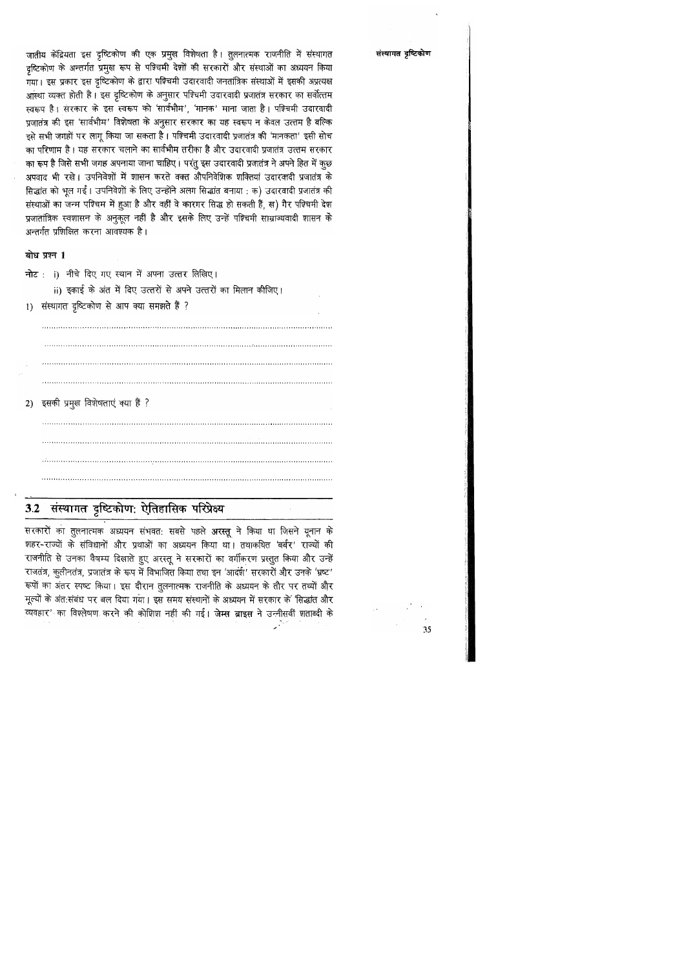जातीय केंद्रियता इस दृष्टिकोण की एक प्रमुख विशेषता है। तुलनात्मक राजनीति में संस्थागत दृष्टिकोण के अन्तर्गत प्रमुख रूप से पश्चिमी देशों की सरकारों और संस्थाओं का अध्ययन किया .<br>गया। इस प्रकार इस दृष्टिकोण के द्वारा पश्चिमी उदारवादी जनतांत्रिक संस्थाओं में इसकी अप्रत्यक्ष आस्था व्यक्त होती है। इस दृष्टिकोण के अनुसार पश्चिमी उदारवादी प्रजातंत्र सरकार का सर्वोत्तम स्वरूप है। सरकार के इस स्वरूप को 'सार्वभौम', 'मानक' माना जाता है। पश्चिमी उदारवादी प्रजातंत्र की इस 'सार्वभौम' विशेषता के अनुसार सरकार का यह स्वरूप न केवल उत्तम है बल्कि इसे सभी जगहों पर लागू किया जा सकता है। पश्चिमी उदारवादी प्रजातंत्र की 'मानकता' इसी सोच का परिणाम है। यह सरकार चलाने का सार्वभौम तरीका है और उदारवादी प्रजातंत्र उत्तम सरकार का रूप है जिसे सभी जगह अपनाया जाना चाहिए। परंतु इस उदारवादी प्रजातंत्र ने अपने हित में कुछ अपवाद भी रखे। उपनिवेशों में शासन करते वक्त औपनिवेशिक शक्तियां उदारवादी प्रजातंत्र के सिद्धांत को भूल गईं। उपनिवेशों के लिए उन्होंने अलग सिद्धांत बनाया : क) उदारवादी प्रजातंत्र की संस्थाओं का जन्म पश्चिम में हुआ है और वहीं वे कारगर सिद्ध हो सकती हैं, ख) गैर पश्चिमी देश प्रजातांत्रिक स्वशासन के अनुकूल नहीं है और इसके लिए उन्हें पश्चिमी साम्राज्यवादी शासन के अन्तर्गत प्रशिक्षित करना आवश्यक है।

### बोध प्रश्न 1

नोट: i) नीचे दिए गए स्थान में अपना उत्तर लिखिए।

ii) इकाई के अंत में दिए उत्तरों से अपने उत्तरों का मिलान कीजिए।

1) संस्थागत दृष्टिकोण से आप क्या समझते हैं ?

2) इसकी प्रमुख विशेषताएं क्या हैं ?

## 3.2 संस्थागत दृष्टिकोण: ऐतिहासिक परिप्रेक्ष्य

सरकारों का तुलनात्मक अध्ययन संभवत: सबसे पहले अरस्तू ने किया था जिसने यूनान के शहर-राज्यों के संविधानों और प्रथाओं का अध्ययन किया था। तथाकथित 'बर्बर' राज्यों की राजनीति से उनका वैषम्य दिखाते हुए अरस्तू ने सरकारों का वर्गीकरण प्रस्तुत किया और उन्हें राजतंत्र, कुलीनतंत्र, प्रजातंत्र के रूप में विभाजित किया तथा इन 'आदर्श' सरकारों और उनके 'भ्रष्ट' रूपों का अंतर स्पष्ट किया। इस दौरान तुलनात्मक राजनीति के अध्ययन के तौर पर तथ्यों और मूल्यों के अंत:संबंध पर बल दिया गया। इस समय संस्थानों के अध्ययन में सरकार के 'सिद्धांत और व्यवहार' का विश्लेषण करने की कोशिश नहीं की गई। जेम्स ब्राइस ने उन्नीसवीं शताब्दी के

संस्थागत दृष्टिकोण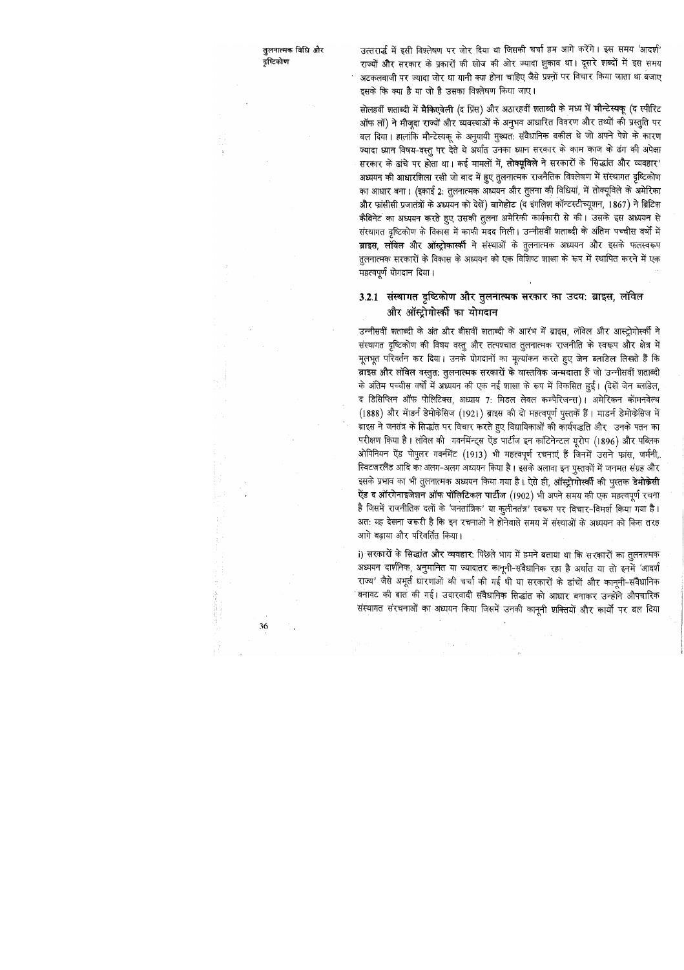उत्तरार्द्ध में इसी विश्लेषण पर जोर दिया था जिसकी चर्चा हम आगे करेंगे। इस समय 'आदर्श' राज्यों और सरकार के प्रकारों की खोज की ओर ज्यादा झुकाव था। दूसरे शब्दों में इस समय अटकलबाजी पर ज्यादा जोर था यानी क्या होना चाहिए जैसे प्रश्नों पर विचार किया जाता था बजाए इसके कि क्या है या जो है उसका विश्लेषण किया जाए।

सोलहवीं शताब्दी में मैकिएवेली (द प्रिंस) और अठारहवीं शताब्दी के मध्य में मौन्टेस्यकू (द स्पीरिट ऑफ लॉ) ने मौजूदा राज्यों और व्यवस्थाओं के अनुभव आधारित विवरण और तथ्यों की प्रस्तुति पर बल दिया। हालांकि मौन्टेस्यकू के अनुयायी मुख्यत: संवैधानिक वकील थे जो अपने पेशे के कारण ज्यादा ध्यान विषय-वस्तु पर देते थे अर्थात उनका ध्यान सरकार के काम काज के ढंग की अपेक्षा सरकार के ढांचे पर होता था। कई मामलों में, तोक्यूविले ने सरकारों के 'सिद्धांत और व्यवहार' अध्ययन की आधारशिला रखी जो बाद में हुए तुलनात्मक राजनैतिक विश्लेषण में संस्थागत दृष्टिकोण का आधार बना। (इकाई 2: तुलनात्मक अध्ययन और तुलना की विधियां, में तोक्यूविले के अमेरिका और फ्रांसीसी प्रजातंत्रों के अध्ययन को देखें) बागेहोट (द इंगलिश कॉन्टस्टीच्यूशन, 1867) ने ब्रिटिश कैबिनेट का अध्ययन करते हुए उसकी तुलना अमेरिकी कार्यकारी से की। उसके इस अध्ययन से संस्थागत दृष्टिकोण के विकास में काफी मदद मिली। उन्नीसवीं शताब्दी के अंतिम पच्चीस वर्षों में ब्राइस, लॉवेल और ऑस्ट्रोकार्स्की ने संस्थाओं के तुलनात्मक अध्ययन और इसके फलस्वरूप तूलनात्मक सरकारों के विकास के अध्ययन को एक विशिष्ट शाखा के रूप में स्थापित करने में एक महत्वपूर्ण योगदान दिया ।

## 3.2.1 संस्थागत दृष्टिकोण और तुलनात्मक सरकार का उदय: ब्राइस, लॉवेल और ऑस्ट्रोगोर्स्की का योगदान

उन्नीसवीं शताब्दी के अंत और बीसवीं शताब्दी के आरंभ में ब्राइस, लॉवेल और आस्ट्रोगोर्स्की ने संस्थागत दृष्टिकोण की विषय वस्तु और तत्पश्चात तुलनात्मक राजनीति के स्वरूप और क्षेत्र में मूलभूत परिवर्तन कर दिया। उनके योगदानों का मूल्यांकन करते हुए जेन ब्लांडेल लिखते हैं कि ब्राइस और लॉवेल वस्तुत: तुलनात्मक सरकारों के वास्तविक जन्मदाता हैं जो उन्नीसवीं शताब्दी के अंतिम पच्चीस वर्षों में अध्ययन की एक नई शाखा के रूप में विकसित हुई। (देखें जेन ब्लांडेल, द डिसिप्लिन ऑफ पोलिटिक्स, अध्याय 7: मिडल लेवल कम्पैरिजन्स)। अमेरिकन कॉमनवेल्थ (1888) और मॉडर्न डेमोकेसिज (1921) ब्राइस की दो महत्वपूर्ण पुस्तकें हैं। माडर्न डेमोकेसिज में ब्राइस ने जनतंत्र के सिद्धांत पर विचार करते हुए विधायिकाओं की कार्यपद्धति और उनके पतन का परीक्षण किया है। लॉवेल की गवर्नमेंन्ट्स ऐंड पार्टीज इन कांटिनेन्टल यूरोप (1896) और पब्लिक ओपिनियन ऐंड पोपुलर गवर्नमेंट (1913) भी महत्वपूर्ण रचनाएं हैं जिनमें उसने फ्रांस, जर्मनी, स्विटजरलैंड आदि का अलग-अलग अध्ययन किया है। इसके अलावा इन पुस्तकों में जनमत संग्रह और इसके प्रभाव का भी तुलनात्मक अध्ययन किया गया है। ऐसे ही, ऑस्ट्रो**गोर्स्की** की पुस्तक डे**मोकेसी** ऐंड द ऑरगेनाइजेशन ऑफ पॉलिटिकल पार्टीज (1902) भी अपने समय की एक महत्वपूर्ण रचना है जिसमें राजनीतिक दलों के 'जनतांत्रिक' या कुलीनतंत्र' स्वरूप पर विचार-विमर्श किया गया है। अत: यह देखना जरूरी है कि इन रचनाओं ने होनेवाले समय में संस्थाओं के अध्ययन को किस तरह आगे बढ़ाया और परिवर्तित किया।

i) सरकारों के सिद्धांत और व्यवहार: पिछले भाग में हमने बताया था कि सरकारों का तुलनात्मक अध्ययन दार्शनिक, अनुमानित या ज्यादातर कानूनी-संवैधानिक रहा है अर्थात या तो इनमें 'आदर्श राज्य' जैसे अमूर्त धारणाओं की चर्चा की गई थी या सरकारों के ढांचों और कानूनी-संवैधानिक <sup>-</sup>बनावट की बात की गई। उदारवादी संवैधानिक सिद्धांत को आधार बनाकर उन्होंने औपचारिक संस्थागत संरचनाओं का अध्ययन किया जिसमें उनकी कानूनी शक्तियों और कार्यों पर बल दिया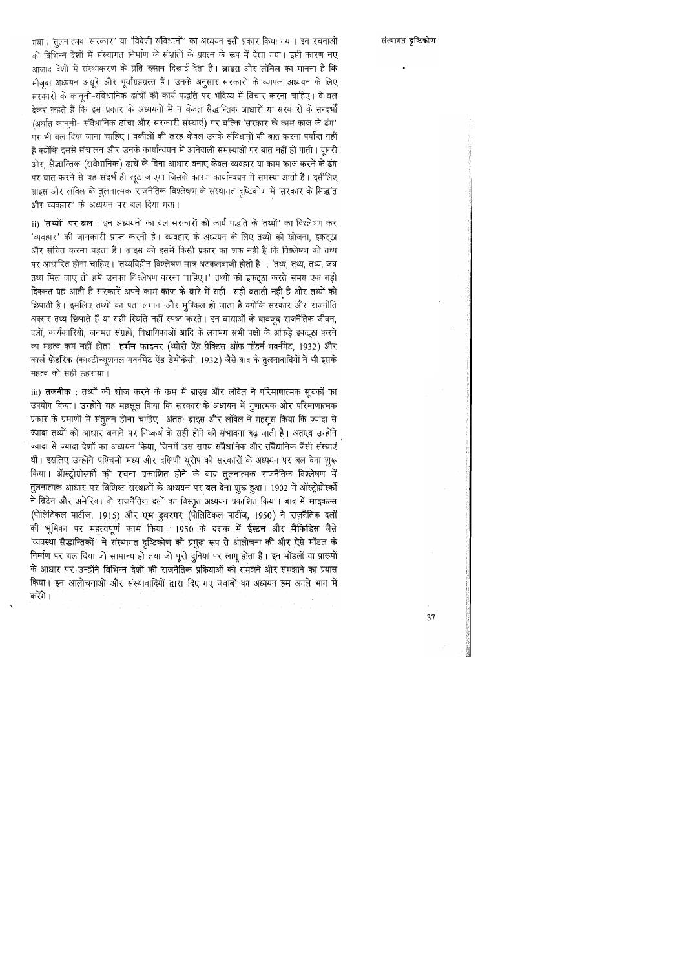### संस्थागत दृष्टिकोण

गया। 'तूलनात्मक सरकार' या 'विदेशी संविधानों' का अध्ययन इसी प्रकार किया गया। इन रचनाओं को विभिन्न देशों में संस्थागत निर्माण के संभ्रांतों के प्रयत्न के रूप में देखा गया। इसी कारण नए आजाद देशों में संस्थाकरण के प्रति रुझान दिखाई देता है। ब्राइस और लॉवेल का मानना है कि मौजुदा अध्ययन अधूरे और पूर्वाग्रहग्रस्त हैं। उनके अनुसार सरकारों के व्यापक अध्ययन के लिए सरकारों के कानूनी-संवैधानिक ढांचों की कार्य पद्धति पर भविष्य में विचार करना चाहिए। वे बल देकर कहते हैं कि इस प्रकार के अध्ययनों में न केवल सैद्धान्तिक आधारों या सरकारों के सन्दर्भों (अर्थात कानूनी- संवैधानिक ढांचा और सरकारी संस्थाएं) पर बल्कि 'सरकार के काम काज के ढंग' पर भी बल दिया जाना चाहिए। वकीलों की तरह केवल उनके संविधानों की बात करना पर्याप्त नहीं है क्योंकि इससे संचालन और उनके कार्यान्वयन में आनेवाली समस्याओं पर बात नहीं हो पाती । दूसरी ओर, सैद्धान्तिक (संवैधानिक) ढांचे के बिना आधार बनाए केवल व्यवहार या काम काज करने के ढंग पर बात करने से वह संदर्भ ही छूट जाएगा जिसके कारण कार्यान्वयन में समस्या आती है। इसीलिए ब्राइस और लॉवेल के तुलनात्मक राजनैतिक विश्लेषण के संस्थागत दृष्टिकोण में 'सरकार के सिद्धांत और व्यवहार' के अध्ययन पर बल दिया गया।

ii) 'तथ्यों' पर बल : इन अध्ययनों का बल सरकारों की कार्य पद्धति के 'तथ्यों' का विश्लेषण कर 'व्यवहार' की जानकारी प्राप्त करनी है। व्यवहार के अध्ययन के लिए तथ्यों को खोजना, इकट्ठा और संचित करना पड़ता है। ब्राइस को इसमें किसी प्रकार का शक नहीं है कि विश्लेषण को तथ्य पर आधारित होना चाहिए। 'तथ्यविहीन विश्लेषण मात्र अटकलबाजी होती है' : 'तथ्य, तथ्य, तथ्य, जब तथ्य मिल जाएं तो हमें उनका विश्लेषण करना चाहिए।' तथ्यों को इकट्ठा करते समय एक बड़ी दिक्कत यह आती है सरकारें अपने काम काज के बारे में सही -सही बताती नहीं है और तथ्यों को छिपाती है। इसलिए तथ्यों का पता लगाना और मुश्किल हो जाता है क्योंकि सरकार और राजनीति अक्सर तथ्य छिपाते हैं या सही स्थिति नहीं स्पष्ट करते। इन बाधाओं के बावजूद राजनैतिक जीवन, दलों, कार्यकारियों, जनमत संग्रहों, विधायिकाओं आदि के लगभग सभी पक्षों के आंकड़े इकट्ठा करने का महत्व कम नहीं होता। हर्मन फाइनर (थ्योरी ऐंड प्रैक्टिस ऑफ मॉडर्न गवर्नमेंट, 1932) और कार्ल फेडरिक (कांस्टीच्यूशनल गवर्नमेंट ऐंड डेमोकेसी, 1932) जैसे बाद के तुलनावादियों ने भी इसके महत्व को सही ठहराया।

iii) तकनीक : तथ्यों की खोज करने के कम में ब्राइस और लॉवेल ने परिमाणात्मक सूचकों का उपयोग किया। उन्होंने यह महसूस किया कि सरकार के अध्ययन में गुणात्मक और परिमाणात्मक प्रकार के प्रमाणों में संतुलन होना चाहिए। अंतत: ब्राइस और लॉवेल ने महसूस किया कि ज्यादा से ज्यादा तथ्यों को आधार बनाने पर निष्कर्ष के सही होने की संभावना बढ़ जाती है। अतएव उन्होंने ज्यादा से ज्यादा देशों का अध्ययन किया, जिनमें उस समय संवैधानिक और संवैधानिक जैसी संस्थाएं थीं। इसलिए उन्होंने पश्चिमी मध्य और दक्षिणी यूरोप की सरकारों के अध्ययन पर बल देना शुरू किया। ऑस्ट्रोग्रोस्की की रचना प्रकाशित होने के बाद तुलनात्मक राजनैतिक विश्लेषण में तुलनात्मक आधार पर विशिष्ट संस्थाओं के अध्ययन पर बल देना शुरू हुआ। 1902 में ऑस्ट्रोग्रोस्की ने ब्रिटेन और अमेरिका के राजनैतिक दलों का विस्तृत अध्ययन प्रकाशित किया। बाद में माइकल्स (पोलिटिकल पार्टीज, 1915) और एम डुवरगर (पोलिटिकल पार्टीज, 1950) ने राज़नैतिक दलों की भूमिका पर महत्वपूर्ण काम किया। 1950 के दशक में ईस्टन और मैक्रिडिस जैसे 'व्यवस्था सैद्धान्तिकों' ने संस्थागत दृष्टिकोण की प्रमुख रूप से आलोचना की और ऐसे मॉडल के निर्माण पर बल दिया जो सामान्य हो तथा जो पूरी दुनिया पर लागू होता है। इन मॉडलों या प्रारूपों के आधार पर उन्होंने विभिन्न देशों की राजनैतिक प्रकियाओं को समझने और समझाने का प्रयास किया। इन आलोचनाओं और संस्थावादियों द्वारा दिए गए जवाबों का अध्ययन हम अगले भाग में करेंगे।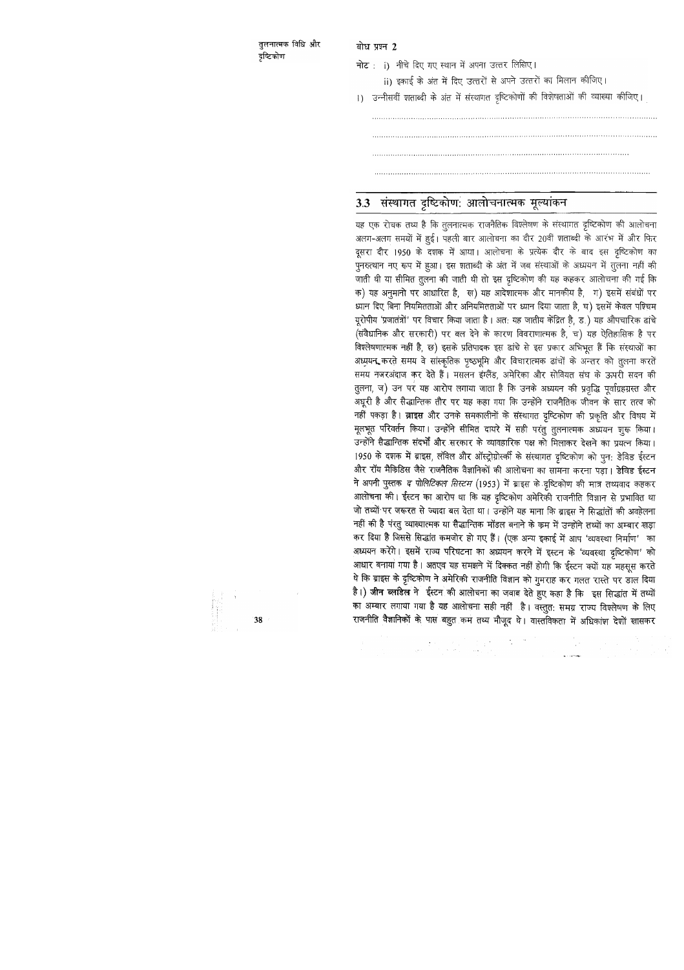तूलनात्मक विधि और दृष्टिकोण

बोध प्रश्न 2

नोट: i) नीचे दिए गए स्थान में अपना उत्तर लिखिए।

ii) इकाई के अंत में दिए उत्तरों से अपने उत्तरों का मिलान कीजिए।

1) उन्नीसवीं शताब्दी के अंत में संस्थागत दृष्टिकोणों की विशेषताओं की व्याख्या कीजिए।

## 3.3 संस्थागत दृष्टिकोण: आलोचनात्मक मूल्यांकन

यह एक रोचक तथ्य है कि तुलनात्मक राजनैतिक विश्लेषण के संस्थागत दृष्टिकोण की आलोचना अलग-अलग समयों में हुई। पहली बार आलोचना का दौर 20वीं शताब्दी के आरंभ में और फिर दूसरा दौर 1950 के दशक में आया। आलोचना के प्रत्येक दौर के बाद इस दृष्टिकोण का पुनरुत्थान नए रूप में हुआ। इस शताब्दी के अंत में जब संस्थाओं के अध्ययन में तुलना नहीं की जाती थी या सीमित तुलना की जाती थी तो इस दृष्टिकोण की यह कहकर आलोचना की गई कि क) यह अनुमानो पर आधारित है, ख) यह आदेशात्मक और मानकीय है, ग) इसमें संबंधों पर ध्यान दिए बिना नियमितताओं और अनियमितताओं पर ध्यान दिया जाता है, घ) इसमें केवल पश्चिम यूरोपीय 'प्रजातंत्रों' पर विचार किया जाता है। अत: यह जातीय केंद्रित है, ड.) यह औपचारिक ढांचे (संवैधानिक और सरकारी) पर बल देने के कारण विवराणात्मक है, च) यह ऐतिहासिक है पर विश्लेषणात्मक नहीं है, छ) इसके प्रतिपादक इस ढांचे से इस प्रकार अभिभूत हैं कि संस्थाओं का अध्ययन, करते समय वे सांस्कृतिक पृष्ठभूमि और विचारात्मक ढांचों के अन्तर को तुलना करते समय नजरअंदाज कर देते हैं। मसलन इंग्लैंड, अमेरिका और सोवियत संघ के ऊपरी सदन की तुलना, ज) उन पर यह आरोप लगाया जाता है कि उनके अध्ययन की प्रवृद्धि पूर्वाग्रहग्रस्त और अधूरी है और सैद्धान्तिक तौर पर यह कहा गया कि उन्होंने राजनैतिक जीवन के सार तत्व को नहीं पकड़ा है। ब्राइस और उनके समकालीनों के संस्थागत दृष्टिकोण की प्रकृति और विषय में मूलभूत परिवर्तन किया। उन्होंने सीमित दायरे में सही परंतु तुलनात्मक अध्ययन घुरू किया। उन्होंने सैद्धान्तिक संदर्भों और सरकार के व्यावहारिक पक्ष को मिलाकर देखने का प्रयत्न किया। 1950 के दशक में ब्राइस, लॉवेल और ऑस्ट्रोग्रोस्की के संस्थागत दृष्टिकोण को पून: डेविड ईस्टन और रॉय मैकिडिस जैसे राजनैतिक वैज्ञानिकों की आलोचना का सामना करना पड़ा। डेविड ईस्टन ने अपनी पुस्तक *द पोलिटिकल सिस्टम* (1953) में ब्राइस के दृष्टिकोण की मात्र तथ्यवाद कहकर आलोचना की। ईस्टन का आरोप था कि यह दृष्टिकोण अमेरिकी राजनीति विज्ञान से प्रभावित था जो तथ्यों पर जरूरत से ज्यादा बल देता था। उन्होंने यह माना कि ब्राइस ने सिद्धांतों की अवहेलना नहीं की है परंतु व्याख्यात्मक या सैद्धान्तिक मॉडल बनाने के कम में उन्होंने तथ्यों का अम्बार खड़ा कर दिया है जिससे सिद्धांत कमजोर हो गए हैं। (एक अन्य इकाई में आप 'व्यवस्था निर्माण' का अध्ययन करेंगे। इसमें राज्य परिघटना का अध्ययन करने में इस्टन के 'व्यवस्था दृष्टिकोण' को आधार बनाया गया है। अतएव यह समझने में दिक्कत नहीं होगी कि ईस्टन क्यों यह महसूस करते थे कि ब्राइस के दृष्टिकोण ने अमेरिकी राजनीति विज्ञान को गुमराह कर गलत रास्ते पर डाल दिया है।) जीन ब्लाडेल ने ईस्टन की आलोचना का जवाब देते हुए कहा है कि इस सिद्धांत में तथ्यों का अम्बार लगाया गया है यह आलोचना सही नहीं है। वस्तुत: समग्र राज्य विश्लेषण के लिए राजनीति वैज्ञानिकों के पास बहुत कम तथ्य मौजूद थे। वास्तविकता में अधिकांश देशों खासकर

 $\begin{array}{l} \mathbb{E} \left[ \begin{array}{cc} \mathbb{E} \left[ \begin{array}{cc} \mathbb{E} \left[ \begin{array}{cc} \mathbb{E} \left[ \begin{array}{cc} \mathbb{E} \left[ \begin{array}{cc} \mathbb{E} \left[ \begin{array}{cc} \mathbb{E} \left[ \begin{array}{ccc} \mathbb{E} \left[ \begin{array}{ccc} \mathbb{E} \left[ \begin{array}{ccc} \mathbb{E} \left[ \begin{array}{ccc} \mathbb{E} \left[ \begin{array}{ccc} \mathbb{E} \left[ \end{array} \right] \end{array} \right] \end{array} \right] \end{array$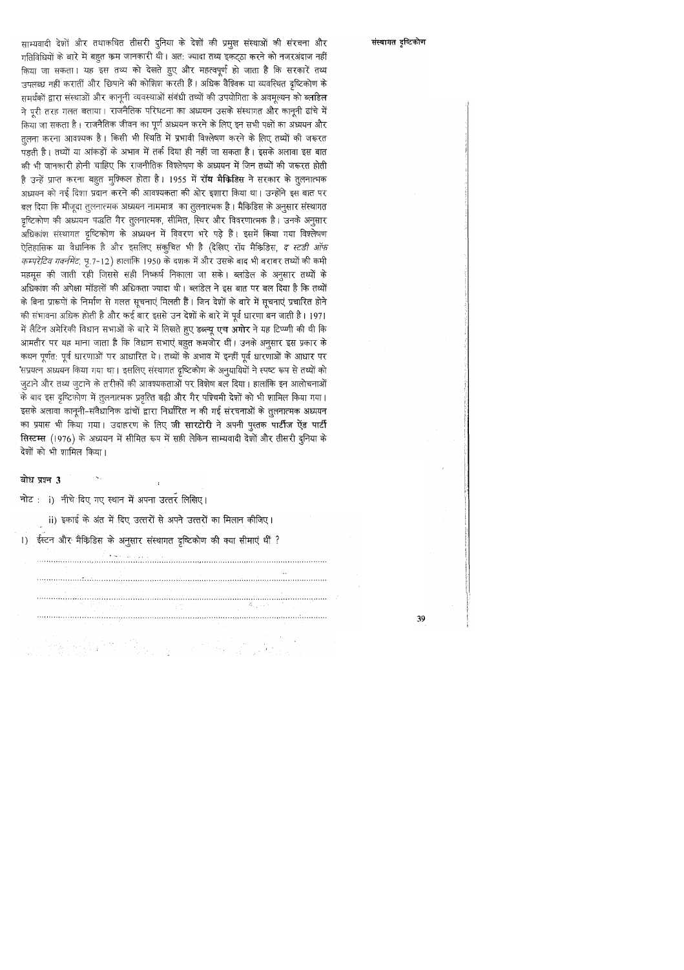साम्यवादी देशों और तथाकथित तीसरी दुनिया के देशों की प्रमुख संस्थाओं की संरचना और गतिविधियों के बारे में बहुत कम जानकारी थी। अत: ज्यादा तथ्य इकट्ठा करने को नजरअंदाज नहीं किया जा सकता। यह इस तथ्य को देखते हुए और महत्वपूर्ण हो जाता है कि सरकारें तथ्य उपलब्ध नहीं करातीं और छिपाने की कोशिश करती हैं। अधिक वैश्विक या व्यवस्थित दृष्टिकोण के समर्थकों द्वारा संस्थाओं और कानूनी व्यवस्थाओं संबंधी तथ्यों की उपयोगिता के अवमुल्यन को ब्लांडेल ने पूरी तरह गलत बताया। राजनैतिक परिघटना का अध्ययन उसके संस्थागत और कानूनी ढांचे में किया जा सकता है। राजनैतिक जीवन का पूर्ण अध्ययन करने के लिए इन सभी पक्षों का अध्ययन और तुलना करना आवश्यक है। किसी भी स्थिति में प्रभावी विश्लेषण करने के लिए तथ्यों की जरूरत पड़ती है। तथ्यों या आंकड़ों के अभाव में तर्क दिया ही नहीं जा सकता है। इसके अलावा इस बात की भी जानकारी होनी चाहिए कि राजनीतिक विश्लेषण के अध्ययन में जिन तथ्यों की जरूरत होती है उन्हें प्राप्त करना बहुत मुश्किल होता है। 1955 में **रॉय मैकिडिस** ने सरकार के तुलनात्मक अध्ययन को नई दिशा प्रदान करने की आवश्यकता की ओर इशारा किया था। उन्होंने इस बात पर बल दिया कि मौजूदा तुलनात्मक अध्ययन नाममात्र का तुलनात्मक है। मैकिडिस के अनुसार संस्थागत दृष्टिकोण की अध्ययन पद्धति गैर तुलनात्मक, सीमित, स्थिर और विवरणात्मक है। उनके अनुसार अधिकांश संस्थागत दृष्टिकोण के अध्ययन में विवरण भरे पड़े हैं। इसमें किया गया विश्लेषण ऐतिहासिक या वैधानिक है और इसलिए संकुचित भी है (देखिए रॉय मैकिडिस, *द स्टडी ऑफ* ं*कम्परेटिव गवर्नमेंट,* पृ.7-12) हालांकि 1950 के दशक में और उसके बाद भी बराबर तथ्यों की कमी महसूस की जाती रही जिससे सही निष्कर्ष निकाला जा सके। ब्लांडेल के अनुसार तथ्यों के अधिकांश की अपेक्षा मॉडलों की अधिकता ज्यादा थी। ब्लांडेल ने इस बात पर बल दिया है कि तथ्यों के बिना प्रारूपों के निर्माण से गलत सूचनाएं मिलती हैं। जिन देशों के बारे में सूचनाएं प्रचारित होने की संभावना अधिक होती है और कई बार इससे उन देशों के बारे में पूर्व धारणा बन जाती है। 1971 में लैटिन अमेरिकी विधान सभाओं के बारे में लिखते हुए डब्ल्यू एच अगोर ने यह टिप्प्णी की थी कि आमतौर पर यह माना जाता है कि विधान सभाएं बहुत कमजोर थीं। उनके अनुसार इस प्रकार के कथन पूर्णत: पूर्व धारणाओं पर आधारित थे। तथ्यों के अभाव में इन्हीं पूर्व धारणाओं के आधार पर 'सप्रयत्न अध्ययन किया गया था। इसलिए संस्थागत दृष्टिकोण के अनुयायियों ने स्पष्ट रूप से तथ्यों को जुटाने और तथ्य जुटाने के तरीकों की आवश्यकताओं पर विशेष बल दिया। हालांकि इन आलोचनाओं के बाद इस दृष्टिकोण में तुलनात्मक प्रवृत्ति बढ़ी और गैर पश्चिमी देशों को भी शामिल किया गया। इसके अलावा कानूनी-संवैधानिक ढांचों द्वारा निर्धारित न की गई संरचनाओं के तुलनात्मक अध्ययन का प्रयास भी किया गया। उदाहरण के लिए जी सारटोरी ने अपनी पुस्तक पार्टीज ऐंड पार्टी सिस्टम्स (1976) के अध्ययन में सीमित रूप में सही लेकिन साम्यवादी देशों और तीसरी दुनिया के देशों को भी शामिल किया।

बोध प्रश्न 3

नोट: i) नीचे दिए गए स्थान में अपना उत्तर लिखिए।

ii) इकाई के अंत में दिए उत्तरों से अपने उत्तरों का मिलान कीजिए।

1) ईस्टन और मैकिडिस के अनुसार संस्थागत दृष्टिकोण की क्या सीमाएं थीं ?



### संस्थागत दृष्टिकोण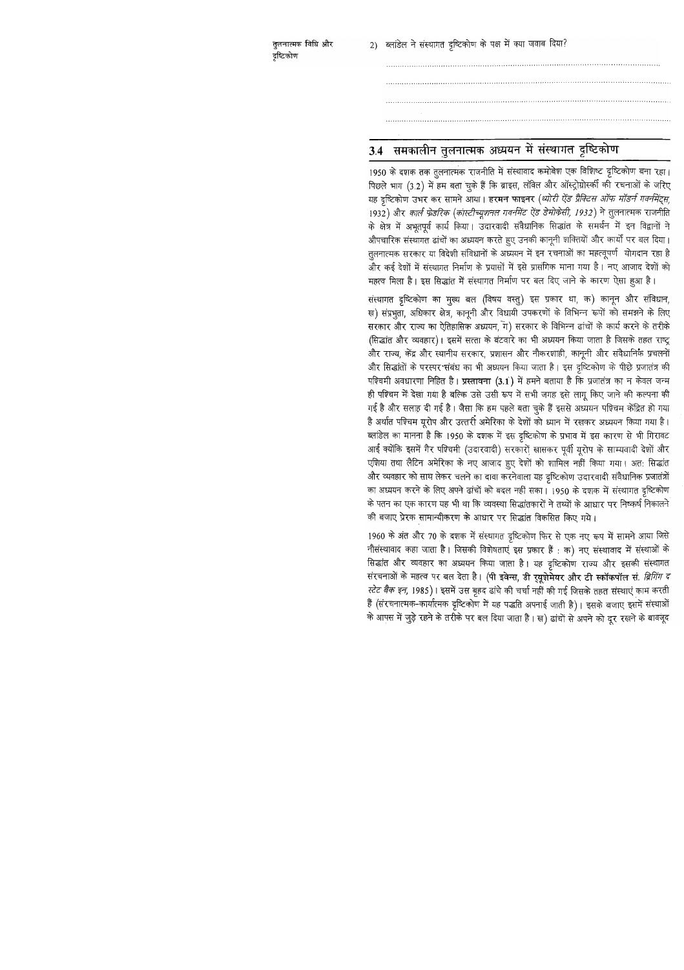तुलनात्मक विधि और दृष्टिकोण

2) ब्लांडेल ने संस्थागत दृष्टिकोण के पक्ष में क्या जवाब दिया?

# 3.4 समकालीन तुलनात्मक अध्ययन में संस्थागत दृष्टिकोण

1950 के दशक तक तूलनात्मक राजनीति में संस्थावाद कमोबेश एक विशिष्ट दृष्टिकोण बना रहा। पिछले भाग (3.2) में हम बता चुके हैं कि ब्राइस, लॉवेल और ऑस्ट्रोग्रोस्की को रचनाओं के जरिए यह दृष्टिकोण उभर कर सामने आया। हरमन फाइनर (*थ्योरी ऐंड प्रैक्टिस ऑफ मॉडर्न गवर्नमेंट्स,* 1932) और कार्ल फ्रेडरिक (कांस्टीच्यूशनल गवर्नमेंट ऐंड डेमोकेसी, 1932) ने तुलनात्मक राजनीति के क्षेत्र में अभूतपूर्व कार्य किया। उदारवादी संवैधानिक सिद्धांत के समर्थन में इन विद्वानों ने औपचारिक संस्थागत ढांचों का अध्ययन करते हुए उनकी कानूनी शक्तियों और कार्यों पर बल दिया। तुलनात्मक सरकार या विदेशी संविधानों के अध्ययन में इन रचनाओं का महत्वूपर्ण योगदान रहा है और कई देशों में संस्थागत निर्माण के प्रयासों में इसे प्रासंगिक माना गया है। नए आजाद देशों को महत्व मिला है। इस सिद्धांत में संस्थागत निर्माण पर बल दिए जाने के कारण ऐसा हुआ है।

संस्थागत दृष्टिकोण का मुख्य बल (विषय वस्तु) इस प्रकार था, क) कानून और संविधान, ख) संप्रभुता, अधिकार क्षेत्र, कानूनी और विधायी उपकरणों के विभिन्न रूपों को समझने के लिए सरकार और राज्य का ऐतिहासिक अध्ययन, ग) सरकार के विभिन्न ढांचों के कार्य करने के तरीके (सिद्धांत और व्यवहार)। इसमें सत्ता के बंटवारे का भी अध्ययन किया जाता है जिसके तहत राष्ट्र और राज्य, केंद्र और स्थानीय सरकार, प्रशासन और नौकरशाही, कानूनी और संवैधानिक प्रचलनों और सिद्धांतों के परस्पर संबंध का भी अध्ययन किया जाता है। इस दृष्टिकोण के पीछे प्रजातंत्र की पश्चिमी अवधारणा निहित है। प्रस्तावना (3.1) में हमने बताया है कि प्रजातंत्र का न केवल जन्म ही पश्चिम में देखा गया है बल्कि उसे उसी रूप में सभी जगह इसे लागू किए जाने की कल्पना की गई है और सलाह़ दी गई है। जैसा कि हम पहले बता चुके हैं इससे अध्ययन पश्चिम केंद्रित हो गया है अर्थात पश्चिम यूरोप और उत्तरी अमेरिका के देशों को ध्यान में रखकर अध्ययन किया गया है। ब्लांडेल का मानना है कि 1950 के दशक में इस दृष्टिकोण के प्रभाव में इस कारण से भी गिरावट आई क्योंकि इसमें गैर पश्चिमी (उदारवादी) सरकारों खासकर पूर्वी यूरोप के साम्यवादी देशों और एशिया तथा लैटिन अमेरिका के नए आजाद हुए देशों को शामिल नहीं किया गया। अत: सिद्धांत और व्यवहार को साथ लेकर चलने का दावा करनेवाला यह दृष्टिकोण उदारवादी संवैधानिक प्रजातंत्रों का अध्ययन करने के लिए अपने ढांचों को बदल नहीं सका। 1950 के दशक में संस्थागत दृष्टिकोण के पतन का एक कारण यह भी था कि व्यवस्था सिद्धांतकारों ने तथ्यों के आधार पर निष्कर्ष निकालने की बजाए प्रेरक सामान्यीकरण के आधार पर सिद्धांत विकसित किए गये।

1960 के अंत और 70 के दशक में संस्थागत दृष्टिकोण फिर से एक नए रूप में सामने आया जिसे नौसंस्थावाद कहा जाता है। जिसकी विशेषताएं इस प्रकार हैं: क) नए संस्थावाद में संस्थाओं के सिद्धांत और व्यवहार का अध्ययन किया जाता है। यह दृष्टिकोण राज्य और इसकी संस्थागत संरचनाओं के महत्व पर बल देता है। (पी इवेन्स, डी र्**यूग्रेमेयर और टी स्कॉकपॉल सं**. *ब्रिगिंग द* स्टेट बैक इन, 1985)। इसमें उस बृहद ढांचे की चर्चा नहीं की गई जिसके तहत संस्थाएं काम करती हैं (संरचनात्मक-कार्यात्मक दृष्टिकोण में यह पद्धति अपनाई जाती है)। इसके बजाए इसमें संस्थाओं के आपस में जुड़े रहने के तरीके पर बल दिया जाता है। ख) ढांचों से अपने को दूर रखने के बावजूद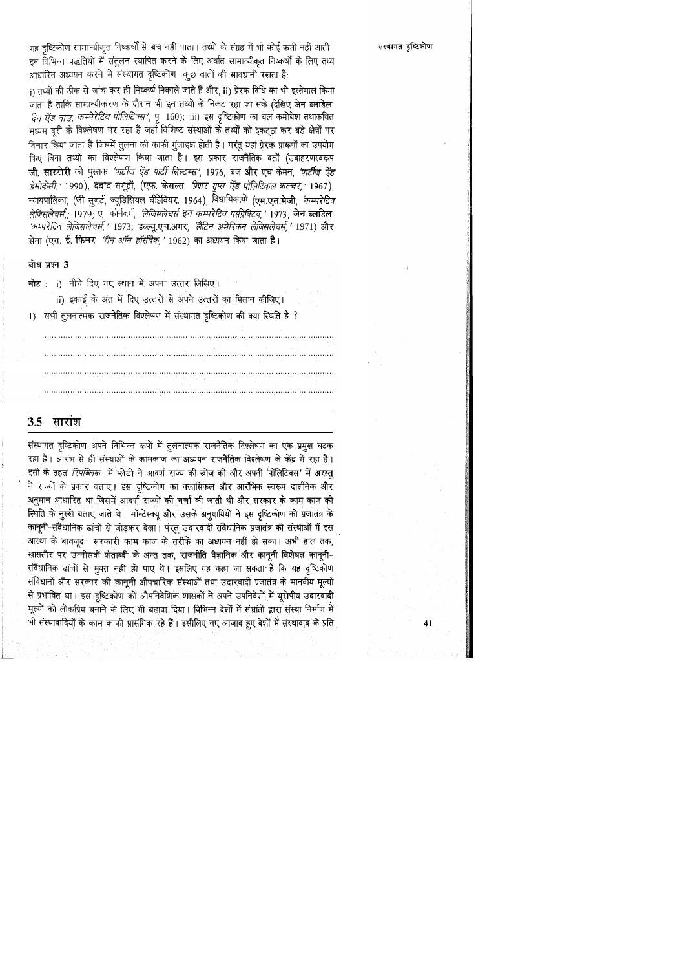यह दृष्टिकोण सामान्यीकृत निष्कर्षों से बच नहीं पाता। तथ्यों के संग्रह में भी कोई कमी नहीं आती इन विभिन्न पद्धतियों में संतुलन स्थापित करने के लिए अर्थात सामान्यीकृत निष्कर्षों के लिए तथ्य आधारित अध्ययन करने में संस्थागत दृष्टिकोण कुछ बातों की सावधानी रखता है:

i) तथ्यों की ठीक से जांच कर ही निष्कर्ष निकाले जाते हैं और, ii) प्रेरक विधि का भी इस्तेमाल किया जाता है ताकि सामान्यीकरण के दौरान भी इन तथ्यों के निकट रहा जा सके (देखिए जेन ब्लांडेल, *दिन ऐंड नाउ. कम्पेरेटिव पॉलिटिक्स'*, पृ 160); iii) इस दृष्टिकोण का बल कमोबेश तथाकथित मध्यम दूरी के विश्लेषण पर रहा है जहां विशिष्ट संस्थाओं के तथ्यों को इकट्ठा कर बड़े क्षेत्रों पर विचार किया जाता है जिसमें तुलना की काफी गुंजाइश होती है। परंतु यहां प्रेरक प्रारूपों का उपयोग किए बिना तथ्यों का विश्लेषण किया जाता है। इस प्रकार राजनैतिक दलों (उदाहरणस्वरूप जी. सारटोरी की पुस्तक *'पार्टीज ऐंड पार्टी सिस्टम्स',* 1976, बज और एच केमन, *'पार्टीज ऐंड* डेमोकेसी, ' 1990), दबाव समूहों, (एफ. केसल्स, प्रेशर युप्स ऐंड पॉलिटिकल कल्चर, ' 1967), न्यायपालिका, (जी सुबर्ट, ज्यूडिसियल बीहेवियर, 1964), विधायिकायों (एम.एल.मेजी, 'कम्परेटिव *लेजिसलेचर्स.,* 1979, ए कॉर्नबर्ग, *'लेजिसलेचर्स इन कम्परेटिव परप्रिक्टिव,'* 1973, जेन ब्लांडेल, 'कम्परेटिव लेजिसलेचर्स,' 1973; डब्ल्यू.एच.आर, 'लैटिन अमेरिकन लेजिसलेचर्स,' 1971) और सेना (एस. ई. फिनर, *'मैन ऑन हॉर्सबैक,'* 1962) का अध्ययन किया जाता है।

### बोध प्रश्न 3

नोट: i) नीचे दिए गए स्थान में अपना उत्तर लिखिए।

ii) इकाई के अंत में दिए उत्तरों से अपने उत्तरों का मिलान कीजिए। 1) सभी तुलनात्मक राजनैतिक विश्लेषण में संस्थागत दृष्टिकोण की क्या स्थिति है ?



संस्थागत दृष्टिकोण अपने विभिन्न रूपों में तुलनात्मक राजनैतिक विश्लेषण का एक प्रमुख घटक रहा है। आरंभ से ही संस्थाओं के कामकाज का अध्ययन राजनैतिक विश्लेषण के केंद्र में रहा है। इसी के तहत *रिपब्लिक* में प्लेटो ने आदर्श राज्य की खोज की और अपनी 'पॉलिटिक्स' में अरस्तु ने राज्यों के प्रकार बताए। इस दृष्टिकोण का क्लासिकल और आरंभिक स्वरूप दार्शनिक और अनुमान आधारित था जिसमें आदर्श राज्यों की चर्चा की जाती थी और सरकार के काम काज की स्थिति के नुस्खे बताए जाते थे। मॉन्टेस्क्यू और उसके अनुयायियों ने इस दृष्टिकोण को प्रजातंत्र के कानूनी-संवैधानिक ढांचों से जोड़कर देखा। पंरतु उदारवादी संवैधानिक प्रजातंत्र की संस्थाओं में इस आस्था के बावजूद सरकारी काम काज के तरीके का अध्ययन नहीं हो सका। अभी हाल तक, खासतौर पर उन्नीसवीं गंताब्दी के अन्त तक, राजनीति वैज्ञानिक और कानूनी विशेषज्ञ कानूनी-संवैधानिक ढांचों से मुक्त नहीं हो पाए थे। इसलिए यह कहा जा सकता है कि यह दृष्टिकोण संविधानों और सरकार की कानूनी औपचारिक संस्थाओं तथा उदारवादी प्रजातंत्र के मानवीय मूल्यों से प्रभावित था। इस दृष्टिकोण को औपनिवेशिक शासकों ने अपने उपनिवेशों में यूरोपीय उदारवादी मूल्यों को लोकप्रिय बनाने के लिए भी बढ़ावा दिया। विभिन्न देशों में संभ्रांतों द्वारा संस्था निर्माण में भी संस्थावादियों के काम काफी प्रासंगिक रहे हैं। इसीलिए नए आजाद हुए देशों में संस्थावाद के प्रति

संस्थागत दृष्टिकोण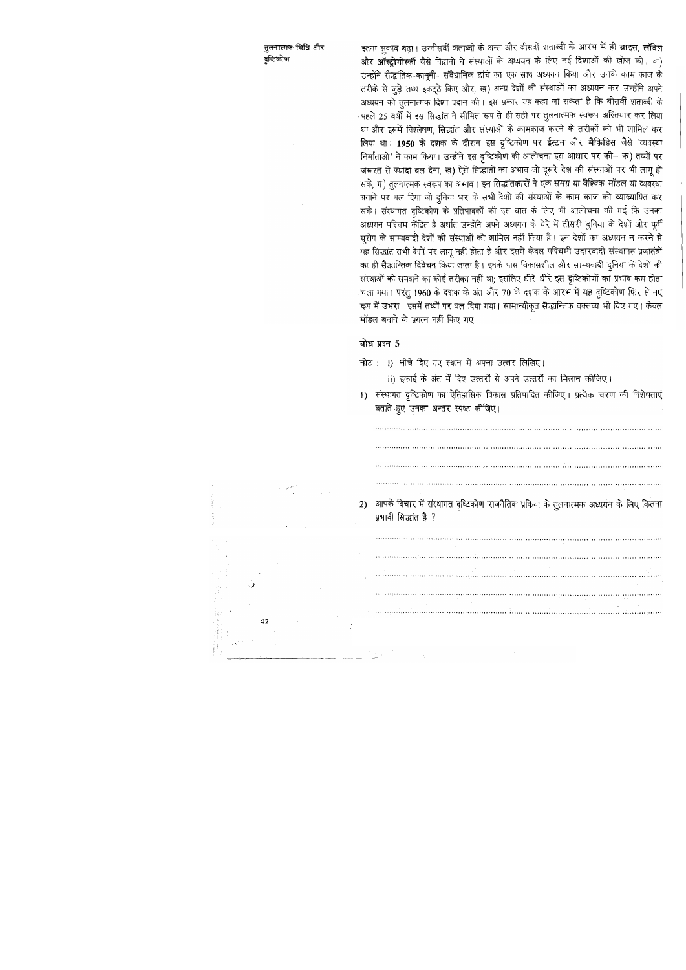तुलनात्मक विधि और दृष्टिकोण

इतना झुकाव बढ़ा। उन्नीसवीं शताब्दी के अन्त और बीसवीं शताब्दी के आरंभ में ही ब्राइस, लॉवेल और ऑस्ट्रोगोर्स्की जैसे विद्वानों ने संस्थाओं के अध्ययन के लिए नई दिशाओं की खोज की। क) उन्होंने सैद्धांतिक-कानूनी- संवैधानिक ढांचे का एक साथ अध्ययन किया और उनके काम काज के तरीके से जुड़े तथ्य इकट्ठे किए और, ख) अन्य देशों की संस्थाओं का अध्ययन कर उन्होंने अपने अध्ययन को तुलनात्मक दिशा प्रदान की। इस प्रकार यह कहा जा सकता है कि बीसवीं शताब्दी के पहले 25 वर्षों में इस सिद्धांत ने सीमित रूप से ही सही पर तुलनात्मक स्वरूप अख्तियार कर लिया था और इसमें विश्लेषण, सिद्धांत और संस्थाओं के कामकाज करने के तरीकों को भी शामिल कर लिया था। 1950 के दशक के दौरान इस दृष्टिकोण पर ईस्टन और मैक्रिडिस जैसे 'व्यवस्था निर्माताओं' ने काम किया। उन्होंने इस दृष्टिकोण की आलोचना इस आधार पर की- क) तथ्यों पर जरूरत से ज्यादा बल देना, ख) ऐसे सिद्धांतों का अभाव जो दूसरे देश की संस्थाओं पर भी लागू हो सके, ग) तुलनात्मक स्वरूप का अभाव। इन सिद्धांतकारों ने एक समग्र या वैश्विक मॉडल या व्यवस्था बनाने पर बल दिया जो दुनिया भर के सभी देशों की संस्थाओं के काम काज को व्याख्यायित कर सके। संस्थागत दृष्टिकोण के प्रतिपादकों की इस बात के लिए भी आलोचना की गई कि उनका अध्ययन पश्चिम केंद्रित है अर्थात उन्होंने अपने अध्ययन के घेरे में तीसरी दुनिया के देशों और पूर्वी यूरोप के साम्यवादी देशों की संस्थाओं को शामिल नहीं किया है। इन देशों का अध्ययन न करने से यह सिद्धांत सभी देशों पर लागू नहीं होता है और इसमें केवल पश्चिमी उदारवादी संस्थागत प्रजातंत्रों का ही सैद्धान्तिक विवेचन किया जाता है। इनके पास विकासशील और साम्यवादी दुनिया के देशों की संस्थाओं को समझने का कोई तरीका नहीं था; इसलिए धीरे-धीरे इस दृष्टिकोणों का प्रभाव कम होता चला गया। परंतु 1960 के दशक के अंत और 70 के दशक के आरंभ में यह दृष्टिकोण फिर से नए रूप में उभरा। इसमें तथ्यों पर बल दिया गया। सामान्यीकृत सैद्धान्तिक वक्तव्य भी दिए गए। केवल मॉडल बनाने के प्रयत्न नहीं किए गए।

### बोध प्रश्न 5

नोट: i) नीचे दिए गए स्थान में अपना उत्तर लिखिए।

ii) इकाई के अंत में दिए उत्तरों से अपने उत्तरों का मिलान कीजिए।

1) संस्थागत दृष्टिकोण का ऐतिहासिक विकास प्रतिपादित कीजिए। प्रत्येक चरण की विशेषताएं बताते हुए उनका अन्तर स्पष्ट कीजिए।

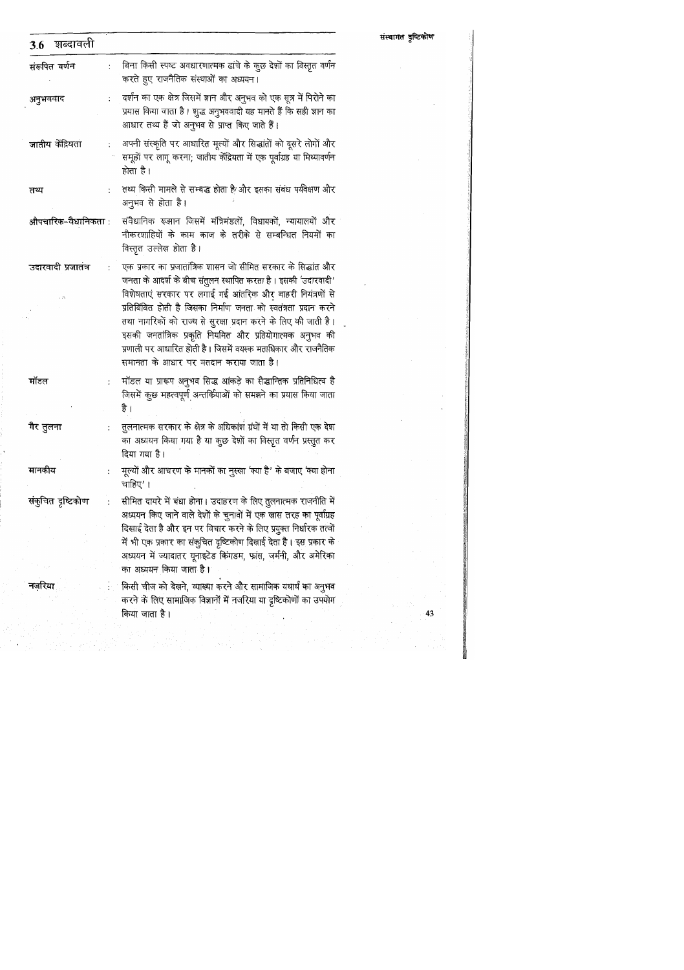| ़दर्शन का एक क्षेत्र जिसमें ज्ञान और अनुभव को एक सूत्र में पिरोने का<br>अनुभववाद<br>प्रयास किया जाता है। शुद्ध अनुभववादी यह मानते हैं कि सही ज्ञान का<br>आधार तथ्य हैं जो अनुभव से प्राप्त किए जाते हैं।<br>अपनी संस्कृति पर आधारित मूल्यों और सिद्धांतों को दूसरे लोगों और<br>जातीय केंद्रियता<br>समूहों पर लागू करना; जातीय केंद्रियता में एक पूर्वाग्रह या मिथ्यावर्णन<br>होता है।<br>तथ्य किसी मामले से सम्बद्ध होता है और इसका संबंध पर्यवेक्षण और<br>तथ्य<br>अनुभव से होता है।<br>संवैधानिक रूझान जिसमें मंत्रिमंडलों, विधायकों, न्यायालयों और<br>औपचारिक–वैधानिकता :<br>नौकरशाहियों के काम काज के तरीके से सम्बन्धित नियमों का<br>विस्तृत उल्लेख होता है।<br>एक प्रकार का प्रजातांत्रिक शासन जो सीमित सरकार के सिद्धांत और<br>उदारवादी प्रजातंत्र<br>जनता के आदर्श के बीच संतुलन स्थापित करता है। इसकी 'उदारवादी'<br>विशेषताएं सरकार पर लगाई गई आंतरिक और बाहरी नियंत्रणों से<br>प्रतिबिंबित होती है जिसका निर्माण जनता को स्वतंत्रता प्रदान करने<br>तथा नागरिकों को राज्य से सुरक्षा प्रदान करने के लिए की जाती है।<br>इसकी जनतांत्रिक प्रकृति नियमित और प्रतियोगात्मक अनुभव की<br>प्रणाली पर आधारित होती है। जिसमें वयस्क मताधिकार और राजनैतिक<br>समानता के आधार पर मतदान कराया जाता है।<br>मॉडल या प्रारूप अनुभव सिद्ध आंकड़े का सैद्धान्तिक प्रतिनिधित्व है<br>मॉडल<br>जिसमें कुछ महत्वपूर्ण अन्तर्कियाओं को समझने का प्रयास किया जाता<br>है ।<br>तुलनात्मक सरकार के क्षेत्र के अधिकांश ग्रंथों में या तो किसी एक देश<br>गैर तुलना<br>का अध्ययन किया गया है या कुछ देशों का विस्तृत वर्णन प्रस्तुत कर<br>दिया गया है।<br>मानकीय<br>मूल्यों और आचरण के मानकों का नुस्खा 'क्या है' के बजाए 'क्या होना<br>चाहिए' ।<br>संकुचित दृष्टिकोण<br>सीमित दायरे में बंधा होना। उदाहरण के लिए तुलनात्मक राजनीति में<br>अध्ययन किए जाने वाले देशों के चुनावों में एक खास तरह का पूर्वाग्रह | बिना किसी स्पष्ट अवधारणात्मक ढांचे के कुछ देशों का विस्तृत वर्णन<br>$\ddot{\cdot}$<br>करते हुए राजनैतिक संस्थाओं का अध्ययन। |  |
|-----------------------------------------------------------------------------------------------------------------------------------------------------------------------------------------------------------------------------------------------------------------------------------------------------------------------------------------------------------------------------------------------------------------------------------------------------------------------------------------------------------------------------------------------------------------------------------------------------------------------------------------------------------------------------------------------------------------------------------------------------------------------------------------------------------------------------------------------------------------------------------------------------------------------------------------------------------------------------------------------------------------------------------------------------------------------------------------------------------------------------------------------------------------------------------------------------------------------------------------------------------------------------------------------------------------------------------------------------------------------------------------------------------------------------------------------------------------------------------------------------------------------------------------------------------------------------------------------------------------------------------------------------------------------------------------------------------------------------------------------------------------------------------------|-----------------------------------------------------------------------------------------------------------------------------|--|
|                                                                                                                                                                                                                                                                                                                                                                                                                                                                                                                                                                                                                                                                                                                                                                                                                                                                                                                                                                                                                                                                                                                                                                                                                                                                                                                                                                                                                                                                                                                                                                                                                                                                                                                                                                                         |                                                                                                                             |  |
|                                                                                                                                                                                                                                                                                                                                                                                                                                                                                                                                                                                                                                                                                                                                                                                                                                                                                                                                                                                                                                                                                                                                                                                                                                                                                                                                                                                                                                                                                                                                                                                                                                                                                                                                                                                         |                                                                                                                             |  |
|                                                                                                                                                                                                                                                                                                                                                                                                                                                                                                                                                                                                                                                                                                                                                                                                                                                                                                                                                                                                                                                                                                                                                                                                                                                                                                                                                                                                                                                                                                                                                                                                                                                                                                                                                                                         |                                                                                                                             |  |
|                                                                                                                                                                                                                                                                                                                                                                                                                                                                                                                                                                                                                                                                                                                                                                                                                                                                                                                                                                                                                                                                                                                                                                                                                                                                                                                                                                                                                                                                                                                                                                                                                                                                                                                                                                                         |                                                                                                                             |  |
|                                                                                                                                                                                                                                                                                                                                                                                                                                                                                                                                                                                                                                                                                                                                                                                                                                                                                                                                                                                                                                                                                                                                                                                                                                                                                                                                                                                                                                                                                                                                                                                                                                                                                                                                                                                         |                                                                                                                             |  |
|                                                                                                                                                                                                                                                                                                                                                                                                                                                                                                                                                                                                                                                                                                                                                                                                                                                                                                                                                                                                                                                                                                                                                                                                                                                                                                                                                                                                                                                                                                                                                                                                                                                                                                                                                                                         |                                                                                                                             |  |
|                                                                                                                                                                                                                                                                                                                                                                                                                                                                                                                                                                                                                                                                                                                                                                                                                                                                                                                                                                                                                                                                                                                                                                                                                                                                                                                                                                                                                                                                                                                                                                                                                                                                                                                                                                                         |                                                                                                                             |  |
|                                                                                                                                                                                                                                                                                                                                                                                                                                                                                                                                                                                                                                                                                                                                                                                                                                                                                                                                                                                                                                                                                                                                                                                                                                                                                                                                                                                                                                                                                                                                                                                                                                                                                                                                                                                         |                                                                                                                             |  |
| दिखाई देता है और इन पर विचार करने के लिए प्रयुक्त निर्धारक तत्वों<br>में भी एक प्रकार का संकुचित दृष्टिकोण दिखाई देता है। इस प्रकार के<br>अध्ययन में ज्यादातर यूनाइटेड किंगडम, फ्रांस, जर्मनी, और अमेरिका<br>का अध्ययन किया जाता है।                                                                                                                                                                                                                                                                                                                                                                                                                                                                                                                                                                                                                                                                                                                                                                                                                                                                                                                                                                                                                                                                                                                                                                                                                                                                                                                                                                                                                                                                                                                                                    |                                                                                                                             |  |
| किसी चीज को देखने, व्याख्या करने और सामाजिक यथार्थ का अनुभव<br>नजारया<br>करने के लिए सामाजिक विज्ञानों में नजरिया या दृष्टिकोणों का उपयोग<br>किया जाता है।                                                                                                                                                                                                                                                                                                                                                                                                                                                                                                                                                                                                                                                                                                                                                                                                                                                                                                                                                                                                                                                                                                                                                                                                                                                                                                                                                                                                                                                                                                                                                                                                                              |                                                                                                                             |  |

संस्थागत दृष्टिकोण

 $\sim$ 

 $\sim$ 

 $\sim$ 

 $\ddot{\phantom{1}}$ 

 $\frac{43}{ }$ 

 $\bar{\alpha}$